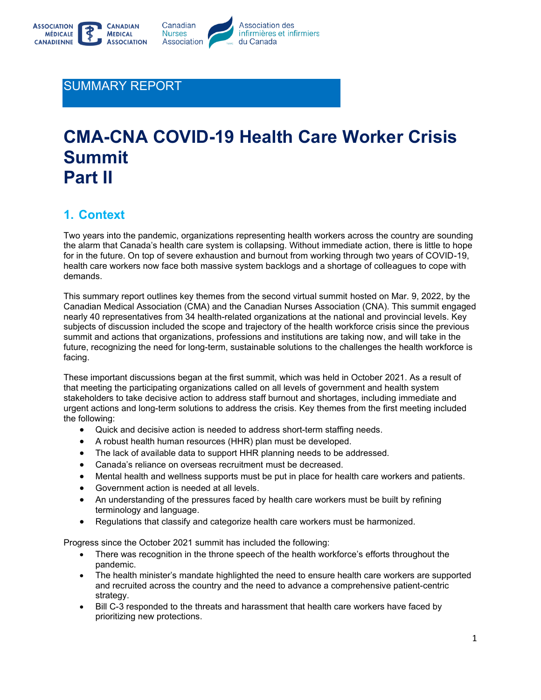

### SUMMARY REPORT

# **CMA-CNA COVID-19 Health Care Worker Crisis Summit Part II**

## **1. Context**

Two years into the pandemic, organizations representing health workers across the country are sounding the alarm that Canada's health care system is collapsing. Without immediate action, there is little to hope for in the future. On top of severe exhaustion and burnout from working through two years of COVID-19, health care workers now face both massive system backlogs and a shortage of colleagues to cope with demands.

This summary report outlines key themes from the second virtual summit hosted on Mar. 9, 2022, by the Canadian Medical Association (CMA) and the Canadian Nurses Association (CNA). This summit engaged nearly 40 representatives from 34 health-related organizations at the national and provincial levels. Key subjects of discussion included the scope and trajectory of the health workforce crisis since the previous summit and actions that organizations, professions and institutions are taking now, and will take in the future, recognizing the need for long-term, sustainable solutions to the challenges the health workforce is facing.

These important discussions began at the first summit, which was held in October 2021. As a result of that meeting the participating organizations called on all levels of government and health system stakeholders to take decisive action to address staff burnout and shortages, including immediate and urgent actions and long-term solutions to address the crisis. Key themes from the first meeting included the following:

- Quick and decisive action is needed to address short-term staffing needs.
- A robust health human resources (HHR) plan must be developed.
- The lack of available data to support HHR planning needs to be addressed.
- Canada's reliance on overseas recruitment must be decreased.
- Mental health and wellness supports must be put in place for health care workers and patients.
- Government action is needed at all levels.
- An understanding of the pressures faced by health care workers must be built by refining terminology and language.
- Regulations that classify and categorize health care workers must be harmonized.

Progress since the October 2021 summit has included the following:

- There was recognition in the throne speech of the health workforce's efforts throughout the pandemic.
- The health minister's mandate highlighted the need to ensure health care workers are supported and recruited across the country and the need to advance a comprehensive patient-centric strategy.
- Bill C-3 responded to the threats and harassment that health care workers have faced by prioritizing new protections.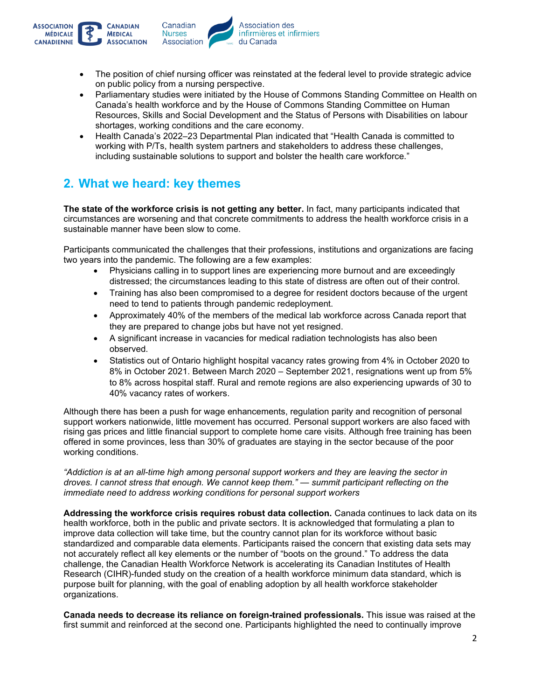

- The position of chief nursing officer was reinstated at the federal level to provide strategic advice on public policy from a nursing perspective.
- Parliamentary studies were initiated by the House of Commons Standing Committee on Health on Canada's health workforce and by the House of Commons Standing Committee on Human Resources, Skills and Social Development and the Status of Persons with Disabilities on labour shortages, working conditions and the care economy.
- Health Canada's 2022–23 Departmental Plan indicated that "Health Canada is committed to working with P/Ts, health system partners and stakeholders to address these challenges, including sustainable solutions to support and bolster the health care workforce."

## **2. What we heard: key themes**

**The state of the workforce crisis is not getting any better.** In fact, many participants indicated that circumstances are worsening and that concrete commitments to address the health workforce crisis in a sustainable manner have been slow to come.

Participants communicated the challenges that their professions, institutions and organizations are facing two years into the pandemic. The following are a few examples:

- Physicians calling in to support lines are experiencing more burnout and are exceedingly distressed; the circumstances leading to this state of distress are often out of their control.
- Training has also been compromised to a degree for resident doctors because of the urgent need to tend to patients through pandemic redeployment.
- Approximately 40% of the members of the medical lab workforce across Canada report that they are prepared to change jobs but have not yet resigned.
- A significant increase in vacancies for medical radiation technologists has also been observed.
- Statistics out of Ontario highlight hospital vacancy rates growing from 4% in October 2020 to 8% in October 2021. Between March 2020 – September 2021, resignations went up from 5% to 8% across hospital staff. Rural and remote regions are also experiencing upwards of 30 to 40% vacancy rates of workers.

Although there has been a push for wage enhancements, regulation parity and recognition of personal support workers nationwide, little movement has occurred. Personal support workers are also faced with rising gas prices and little financial support to complete home care visits. Although free training has been offered in some provinces, less than 30% of graduates are staying in the sector because of the poor working conditions.

*"Addiction is at an all-time high among personal support workers and they are leaving the sector in droves. I cannot stress that enough. We cannot keep them." — summit participant reflecting on the immediate need to address working conditions for personal support workers*

**Addressing the workforce crisis requires robust data collection.** Canada continues to lack data on its health workforce, both in the public and private sectors. It is acknowledged that formulating a plan to improve data collection will take time, but the country cannot plan for its workforce without basic standardized and comparable data elements. Participants raised the concern that existing data sets may not accurately reflect all key elements or the number of "boots on the ground." To address the data challenge, the Canadian Health Workforce Network is accelerating its Canadian Institutes of Health Research (CIHR)-funded study on the creation of a health workforce minimum data standard, which is purpose built for planning, with the goal of enabling adoption by all health workforce stakeholder organizations.

**Canada needs to decrease its reliance on foreign-trained professionals.** This issue was raised at the first summit and reinforced at the second one. Participants highlighted the need to continually improve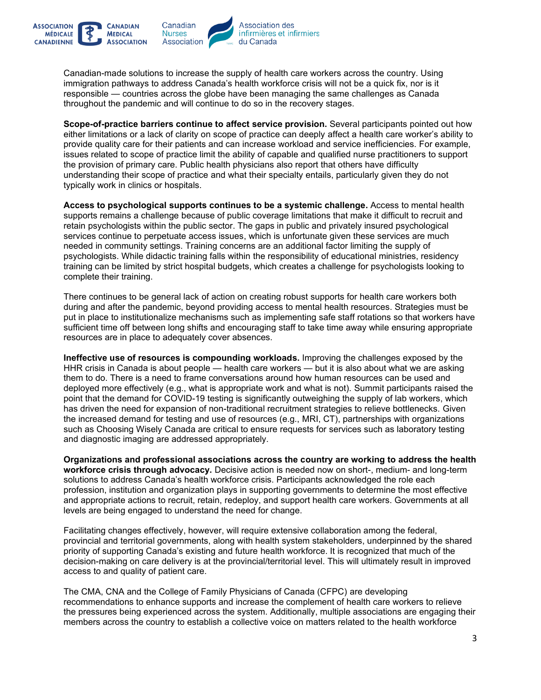

**ASSOCIATION** 

**CANADIENNE** 

**MÉDICALE** 

Canadian-made solutions to increase the supply of health care workers across the country. Using immigration pathways to address Canada's health workforce crisis will not be a quick fix, nor is it responsible — countries across the globe have been managing the same challenges as Canada throughout the pandemic and will continue to do so in the recovery stages.

**Scope-of-practice barriers continue to affect service provision.** Several participants pointed out how either limitations or a lack of clarity on scope of practice can deeply affect a health care worker's ability to provide quality care for their patients and can increase workload and service inefficiencies. For example, issues related to scope of practice limit the ability of capable and qualified nurse practitioners to support the provision of primary care. Public health physicians also report that others have difficulty understanding their scope of practice and what their specialty entails, particularly given they do not typically work in clinics or hospitals.

**Access to psychological supports continues to be a systemic challenge.** Access to mental health supports remains a challenge because of public coverage limitations that make it difficult to recruit and retain psychologists within the public sector. The gaps in public and privately insured psychological services continue to perpetuate access issues, which is unfortunate given these services are much needed in community settings. Training concerns are an additional factor limiting the supply of psychologists. While didactic training falls within the responsibility of educational ministries, residency training can be limited by strict hospital budgets, which creates a challenge for psychologists looking to complete their training.

There continues to be general lack of action on creating robust supports for health care workers both during and after the pandemic, beyond providing access to mental health resources. Strategies must be put in place to institutionalize mechanisms such as implementing safe staff rotations so that workers have sufficient time off between long shifts and encouraging staff to take time away while ensuring appropriate resources are in place to adequately cover absences.

**Ineffective use of resources is compounding workloads.** Improving the challenges exposed by the HHR crisis in Canada is about people — health care workers — but it is also about what we are asking them to do. There is a need to frame conversations around how human resources can be used and deployed more effectively (e.g., what is appropriate work and what is not). Summit participants raised the point that the demand for COVID-19 testing is significantly outweighing the supply of lab workers, which has driven the need for expansion of non-traditional recruitment strategies to relieve bottlenecks. Given the increased demand for testing and use of resources (e.g., MRI, CT), partnerships with organizations such as Choosing Wisely Canada are critical to ensure requests for services such as laboratory testing and diagnostic imaging are addressed appropriately.

**Organizations and professional associations across the country are working to address the health workforce crisis through advocacy.** Decisive action is needed now on short-, medium- and long-term solutions to address Canada's health workforce crisis. Participants acknowledged the role each profession, institution and organization plays in supporting governments to determine the most effective and appropriate actions to recruit, retain, redeploy, and support health care workers. Governments at all levels are being engaged to understand the need for change.

Facilitating changes effectively, however, will require extensive collaboration among the federal, provincial and territorial governments, along with health system stakeholders, underpinned by the shared priority of supporting Canada's existing and future health workforce. It is recognized that much of the decision-making on care delivery is at the provincial/territorial level. This will ultimately result in improved access to and quality of patient care.

The CMA, CNA and the College of Family Physicians of Canada (CFPC) are developing recommendations to enhance supports and increase the complement of health care workers to relieve the pressures being experienced across the system. Additionally, multiple associations are engaging their members across the country to establish a collective voice on matters related to the health workforce